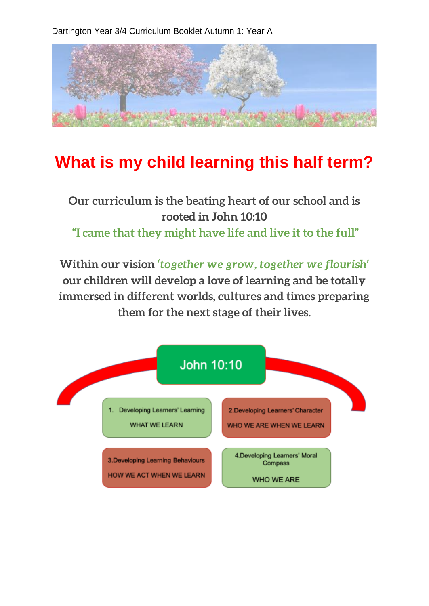Dartington Year 3/4 Curriculum Booklet Autumn 1: Year A



## **What is my child learning this half term?**

## **Our curriculum is the beating heart of our school and is rooted in John 10:10 "I came that they might have life and live it to the full"**

**Within our vision** *'together we grow, together we flourish'*  **our children will develop a love of learning and be totally immersed in different worlds, cultures and times preparing them for the next stage of their lives.**